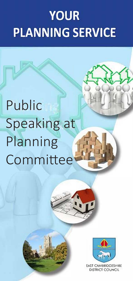# **YOUR PLANNING SERVICE**

# Public Speaking at Planning Committee





**EAST CAMBRIDGESHIRE DISTRICT COUNCIL**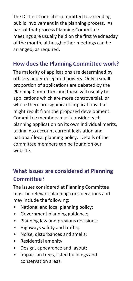The District Council is committed to extending public involvement in the planning process. As part of that process Planning Committee meetings are usually held on the first Wednesday of the month, although other meetings can be arranged, as required.

#### **How does the Planning Committee work?**

The majority of applications are determined by officers under delegated powers. Only a small proportion of applications are debated by the Planning Committee and these will usually be applications which are more controversial, or where there are significant implications that might result from the proposed development. Committee members must consider each planning application on its own individual merits, taking into account current legislation and national/ local planning policy. Details of the committee members can be found on our website.

## **What issues are considered at Planning Committee?**

The issues considered at Planning Committee must be relevant planning considerations and may include the following:

- National and local planning policy;
- Government planning guidance;
- Planning law and previous decisions;
- Highways safety and traffic;
- Noise, disturbances and smells;
- Residential amenity
- Design, appearance and layout;
- Impact on trees, listed buildings and conservation areas.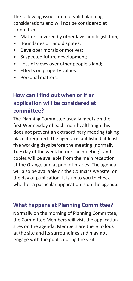The following issues are not valid planning considerations and will not be considered at committee.

- Matters covered by other laws and legislation;
- Boundaries or land disputes;
- Developer morals or motives;
- Suspected future development;
- Loss of views over other people's land;
- Effects on property values;
- Personal matters.

# **How can I find out when or if an application will be considered at committee?**

The Planning Committee usually meets on the first Wednesday of each month, although this does not prevent an extraordinary meeting taking place if required. The agenda is published at least five working days before the meeting (normally Tuesday of the week before the meeting), and copies will be available from the main reception at the Grange and at public libraries. The agenda will also be available on the Council's website, on the day of publication. It is up to you to check whether a particular application is on the agenda.

## **What happens at Planning Committee?**

Normally on the morning of Planning Committee, the Committee Members will visit the application sites on the agenda. Members are there to look at the site and its surroundings and may not engage with the public during the visit.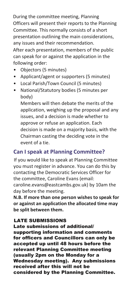During the committee meeting, Planning Officers will present their reports to the Planning Committee. This normally consists of a short presentation outlining the main considerations, any issues and their recommendation. After each presentation, members of the public can speak for or against the application in the following order:

- Objectors (5 minutes)
- Applicant/agent or supporters (5 minutes)
- Local Parish/Town Council (5 minutes)
- National/Statutory bodies (5 minutes per body)

Members will then debate the merits of the application, weighing up the proposal and any issues, and a decision is made whether to approve or refuse an application. Each decision is made on a majority basis, with the Chairman casting the deciding vote in the event of a tie.

#### **Can I speak at Planning Committee?**

If you would like to speak at Planning Committee you must register in advance. You can do this by contacting the Democratic Services Officer for the committee, Caroline Evans (email: caroline.evans@eastcambs.gov.uk) by 10am the day before the meeting.

**N.B. If more than one person wishes to speak for or against an application the allocated time may be split between them.** 

#### LATE SUBMISSIONS

Late submissions of additional/ supporting information and comments for officers and Councillors can only be accepted up until 48 hours before the relevant Planning Committee meeting (usually 2pm on the Monday for a Wednesday meeting). Any submissions received after this will not be considered by the Planning Committee.